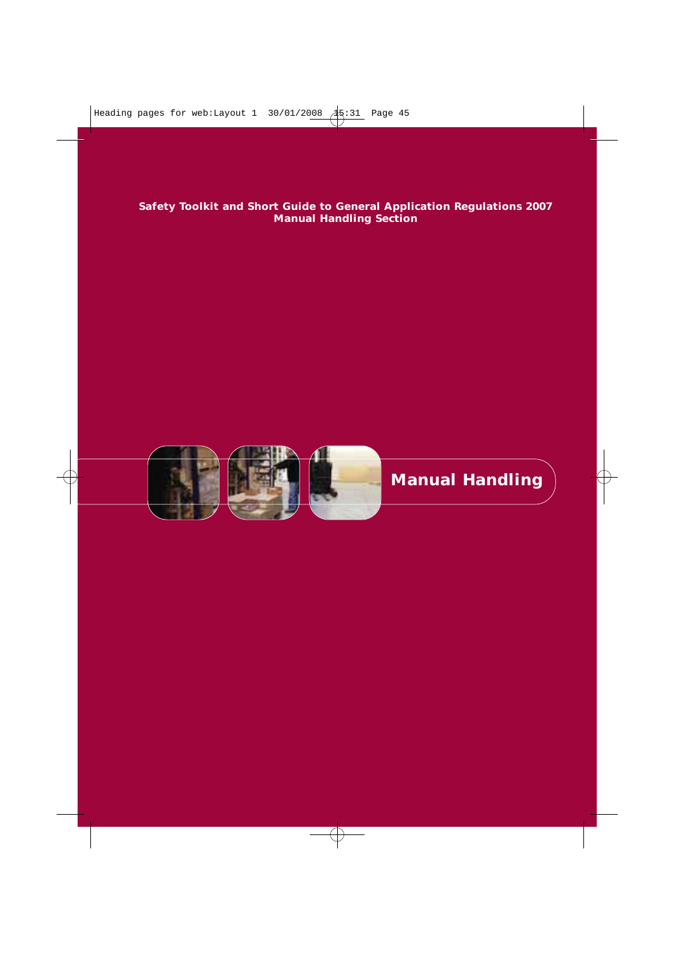#### **Safety Toolkit and Short Guide to General Application Regulations 2007 Manual Handling Section**

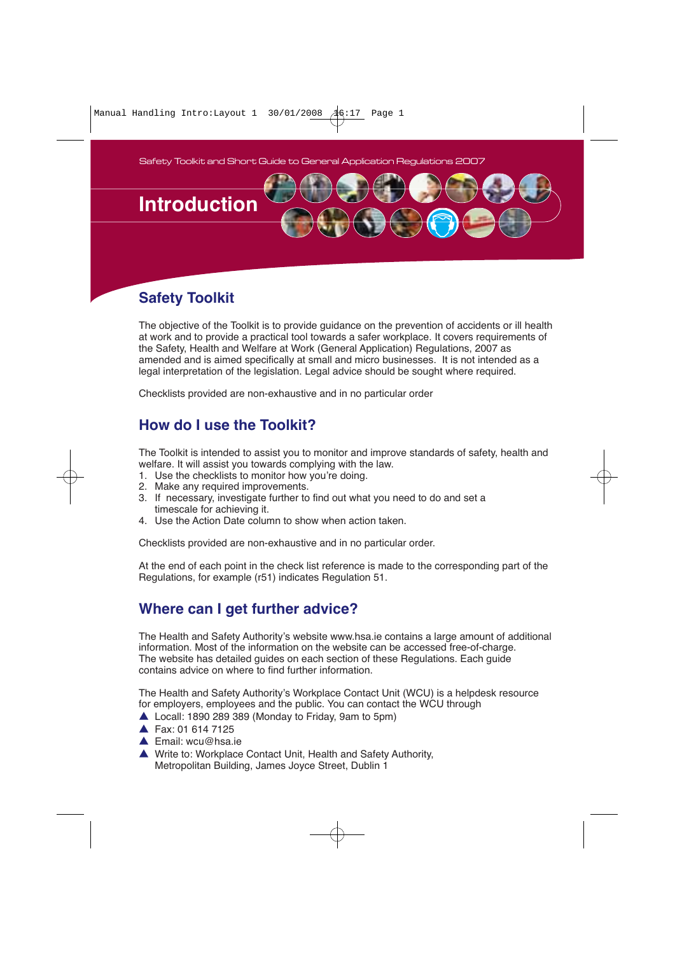Safety Toolkit and Short Guide to General Application Regulations 2007



## **Safety Toolkit**

The objective of the Toolkit is to provide guidance on the prevention of accidents or ill health at work and to provide a practical tool towards a safer workplace. It covers requirements of the Safety, Health and Welfare at Work (General Application) Regulations, 2007 as amended and is aimed specifically at small and micro businesses. It is not intended as a legal interpretation of the legislation. Legal advice should be sought where required.

Checklists provided are non-exhaustive and in no particular order

### **How do I use the Toolkit?**

The Toolkit is intended to assist you to monitor and improve standards of safety, health and welfare. It will assist you towards complying with the law.

- 1. Use the checklists to monitor how you're doing.
- 2. Make any required improvements.
- 3. If necessary, investigate further to find out what you need to do and set a timescale for achieving it.
- 4. Use the Action Date column to show when action taken.

Checklists provided are non-exhaustive and in no particular order.

At the end of each point in the check list reference is made to the corresponding part of the Regulations, for example (r51) indicates Regulation 51.

#### **Where can I get further advice?**

The Health and Safety Authority's website www.hsa.ie contains a large amount of additional information. Most of the information on the website can be accessed free-of-charge. The website has detailed guides on each section of these Regulations. Each guide contains advice on where to find further information.

The Health and Safety Authority's Workplace Contact Unit (WCU) is a helpdesk resource for employers, employees and the public. You can contact the WCU through

- ▲ Locall: 1890 289 389 (Monday to Friday, 9am to 5pm)
- ▲ Fax: 01 614 7125
- ▲ Email: wcu@hsa.ie
- ▲ Write to: Workplace Contact Unit, Health and Safety Authority, Metropolitan Building, James Joyce Street, Dublin 1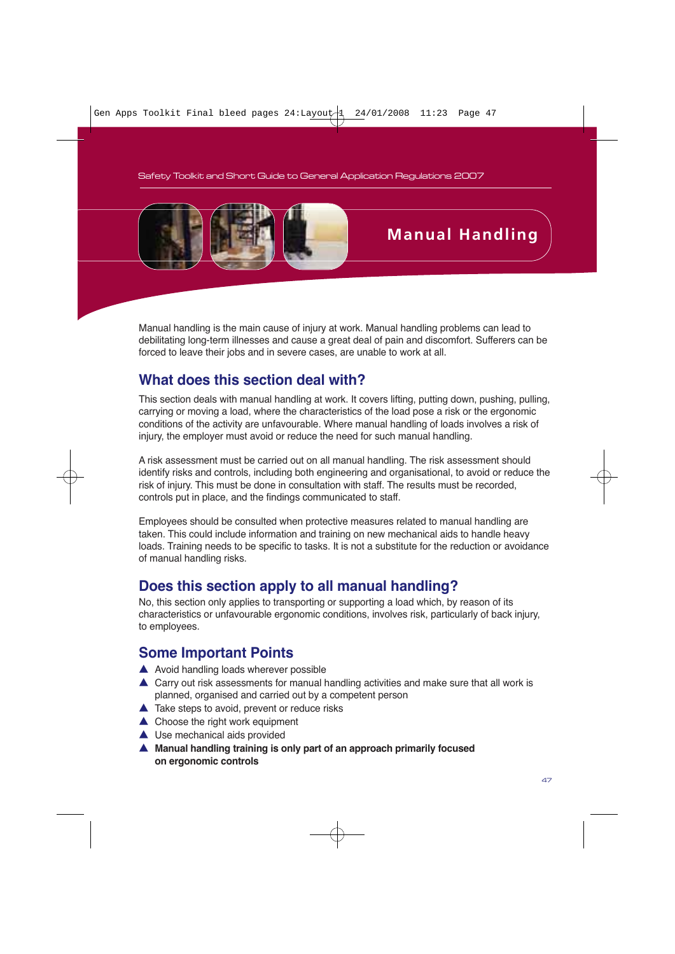

# **Manual Handling**

Manual handling is the main cause of injury at work. Manual handling problems can lead to debilitating long-term illnesses and cause a great deal of pain and discomfort. Sufferers can be forced to leave their jobs and in severe cases, are unable to work at all.

#### **What does this section deal with?**

This section deals with manual handling at work. It covers lifting, putting down, pushing, pulling, carrying or moving a load, where the characteristics of the load pose a risk or the ergonomic conditions of the activity are unfavourable. Where manual handling of loads involves a risk of injury, the employer must avoid or reduce the need for such manual handling.

A risk assessment must be carried out on all manual handling. The risk assessment should identify risks and controls, including both engineering and organisational, to avoid or reduce the risk of injury. This must be done in consultation with staff. The results must be recorded, controls put in place, and the findings communicated to staff.

Employees should be consulted when protective measures related to manual handling are taken. This could include information and training on new mechanical aids to handle heavy loads. Training needs to be specific to tasks. It is not a substitute for the reduction or avoidance of manual handling risks.

#### **Does this section apply to all manual handling?**

No, this section only applies to transporting or supporting a load which, by reason of its characteristics or unfavourable ergonomic conditions, involves risk, particularly of back injury, to employees.

#### **Some Important Points**

- ▲ Avoid handling loads wherever possible
- ▲ Carry out risk assessments for manual handling activities and make sure that all work is planned, organised and carried out by a competent person
- $\triangle$  Take steps to avoid, prevent or reduce risks
- $\triangle$  Choose the right work equipment
- ▲ Use mechanical aids provided
- ▲ **Manual handling training is only part of an approach primarily focused on ergonomic controls**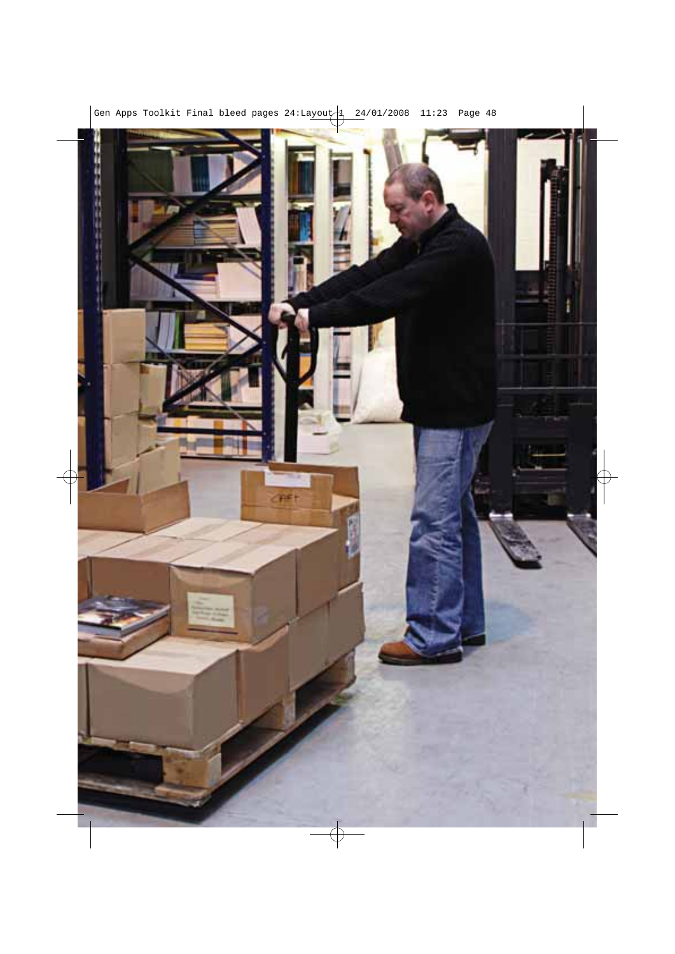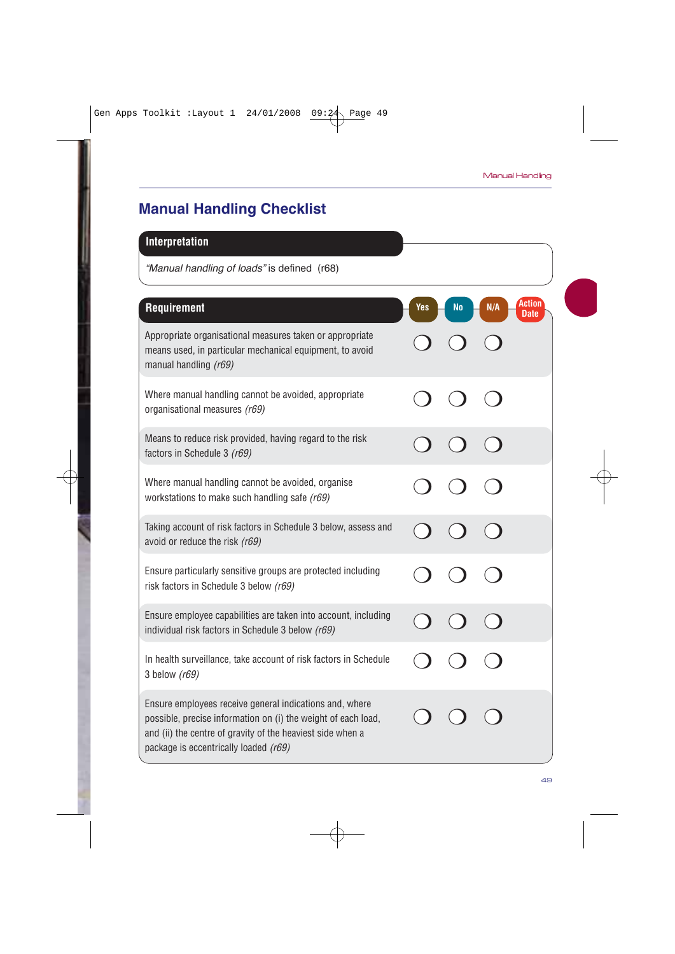# **Manual Handling Checklist**

#### **Interpretation**

"Manual handling of loads" is defined (r68)

| <b>Requirement</b>                                                                                                                                                                                                              | <b>Yes</b> | <b>No</b> | Action<br>N/A<br>Date |
|---------------------------------------------------------------------------------------------------------------------------------------------------------------------------------------------------------------------------------|------------|-----------|-----------------------|
| Appropriate organisational measures taken or appropriate<br>means used, in particular mechanical equipment, to avoid<br>manual handling (r69)                                                                                   |            |           |                       |
| Where manual handling cannot be avoided, appropriate<br>organisational measures (r69)                                                                                                                                           |            |           |                       |
| Means to reduce risk provided, having regard to the risk<br>factors in Schedule 3 (r69)                                                                                                                                         |            |           |                       |
| Where manual handling cannot be avoided, organise<br>workstations to make such handling safe (r69)                                                                                                                              |            |           |                       |
| Taking account of risk factors in Schedule 3 below, assess and<br>avoid or reduce the risk (r69)                                                                                                                                |            |           |                       |
| Ensure particularly sensitive groups are protected including<br>risk factors in Schedule 3 below (r69)                                                                                                                          |            |           |                       |
| Ensure employee capabilities are taken into account, including<br>individual risk factors in Schedule 3 below (r69)                                                                                                             |            |           |                       |
| In health surveillance, take account of risk factors in Schedule<br>3 below (r69)                                                                                                                                               |            |           |                       |
| Ensure employees receive general indications and, where<br>possible, precise information on (i) the weight of each load,<br>and (ii) the centre of gravity of the heaviest side when a<br>package is eccentrically loaded (r69) |            |           |                       |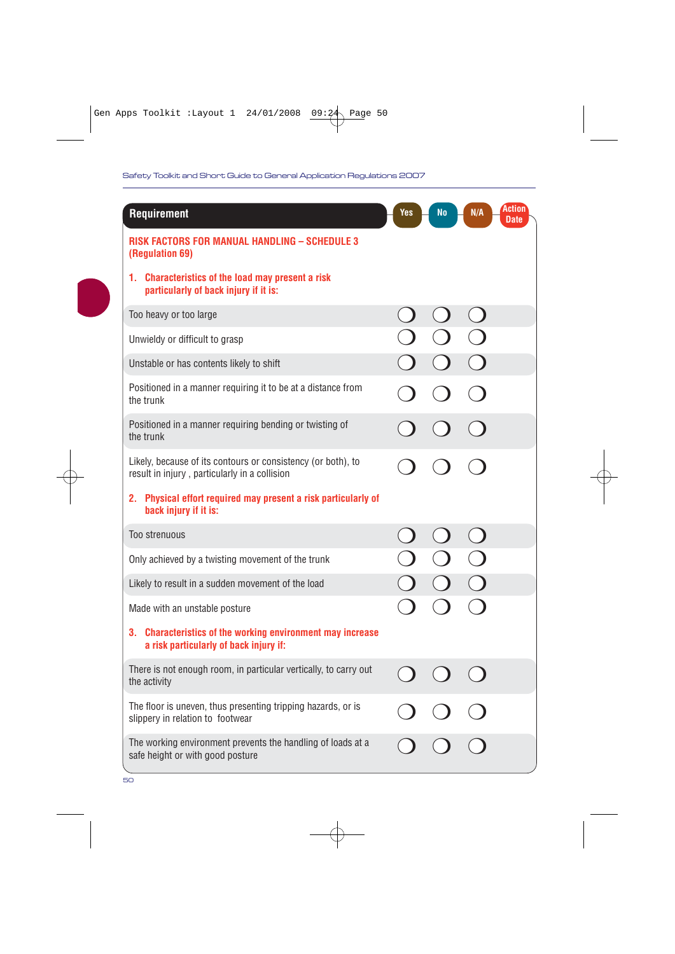| Requirement                                                                                                   | Yes | <b>No</b> | N/A | <b>Action</b><br>Date |
|---------------------------------------------------------------------------------------------------------------|-----|-----------|-----|-----------------------|
| <b>RISK FACTORS FOR MANUAL HANDLING - SCHEDULE 3</b><br>(Regulation 69)                                       |     |           |     |                       |
| 1. Characteristics of the load may present a risk<br>particularly of back injury if it is:                    |     |           |     |                       |
| Too heavy or too large                                                                                        |     |           |     |                       |
| Unwieldy or difficult to grasp                                                                                |     |           |     |                       |
| Unstable or has contents likely to shift                                                                      |     |           |     |                       |
| Positioned in a manner requiring it to be at a distance from<br>the trunk                                     |     |           |     |                       |
| Positioned in a manner requiring bending or twisting of<br>the trunk                                          |     |           |     |                       |
| Likely, because of its contours or consistency (or both), to<br>result in injury, particularly in a collision |     |           |     |                       |
| 2. Physical effort required may present a risk particularly of<br>back injury if it is:                       |     |           |     |                       |
| Too strenuous                                                                                                 |     |           |     |                       |
| Only achieved by a twisting movement of the trunk                                                             |     |           |     |                       |
| Likely to result in a sudden movement of the load                                                             |     |           |     |                       |
| Made with an unstable posture                                                                                 |     |           |     |                       |
| 3. Characteristics of the working environment may increase<br>a risk particularly of back injury if:          |     |           |     |                       |
| There is not enough room, in particular vertically, to carry out<br>the activity                              |     |           |     |                       |
| The floor is uneven, thus presenting tripping hazards, or is<br>slippery in relation to footwear              |     |           |     |                       |
| The working environment prevents the handling of loads at a<br>safe height or with good posture               |     |           |     |                       |